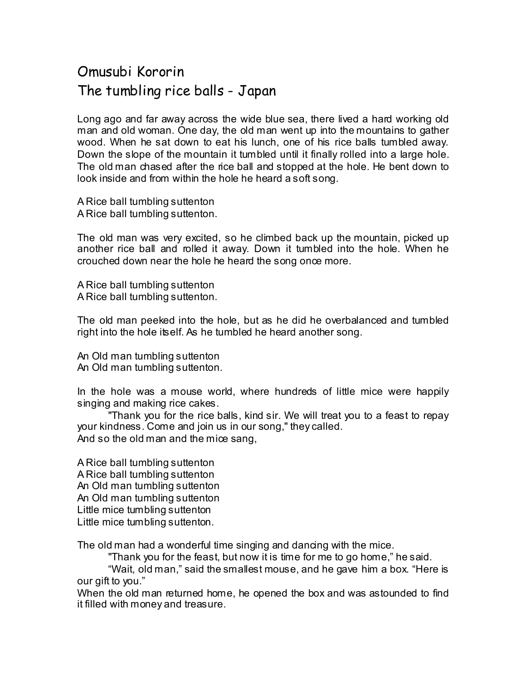## Omusubi Kororin The tumbling rice balls - Japan

Long ago and far away across the wide blue sea, there lived a hard working old man and old woman. One day, the old man went up into the mountains to gather wood. When he sat down to eat his lunch, one of his rice balls tumbled away. Down the slope of the mountain it tumbled until it finally rolled into a large hole. The old man chased after the rice ball and stopped at the hole. He bent down to look inside and from within the hole he heard a soft song.

A Rice ball tumbling suttenton A Rice ball tumbling suttenton.

The old man was very excited, so he climbed back up the mountain, picked up another rice ball and rolled it away. Down it tumbled into the hole. When he crouched down near the hole he heard the song once more.

A Rice ball tumbling suttenton A Rice ball tumbling suttenton.

The old man peeked into the hole, but as he did he overbalanced and tumbled right into the hole itself. As he tumbled he heard another song.

An Old man tumbling suttenton An Old man tumbling suttenton.

In the hole was a mouse world, where hundreds of little mice were happily singing and making rice cakes.

 "Thank you for the rice balls, kind sir. We will treat you to a feast to repay your kindness. Come and join us in our song," they called. And so the old man and the mice sang,

A Rice ball tumbling suttenton A Rice ball tumbling suttenton An Old man tumbling suttenton An Old man tumbling suttenton Little mice tumbling suttenton Little mice tumbling suttenton.

The old man had a wonderful time singing and dancing with the mice.

"Thank you for the feast, but now it is time for me to go home," he said.

 "Wait, old man," said the smallest mouse, and he gave him a box. "Here is our gift to you."

When the old man returned home, he opened the box and was astounded to find it filled with money and treasure.